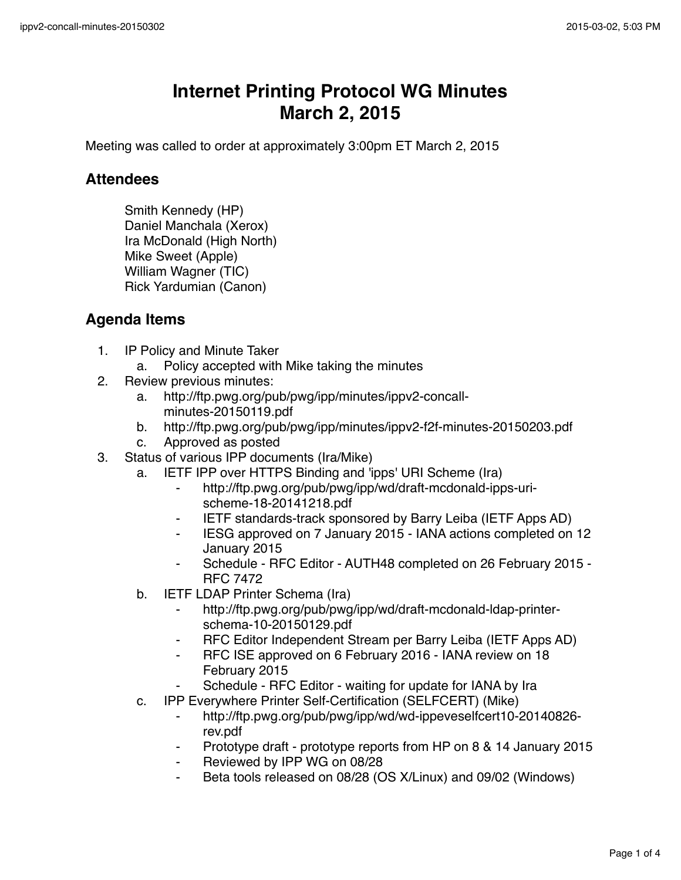## **Internet Printing Protocol WG Minutes March 2, 2015**

Meeting was called to order at approximately 3:00pm ET March 2, 2015

## **Attendees**

Smith Kennedy (HP) Daniel Manchala (Xerox) Ira McDonald (High North) Mike Sweet (Apple) William Wagner (TIC) Rick Yardumian (Canon)

## **Agenda Items**

- 1. IP Policy and Minute Taker
	- a. Policy accepted with Mike taking the minutes
- 2. Review previous minutes:
	- a. http://ftp.pwg.org/pub/pwg/ipp/minutes/ippv2-concallminutes-20150119.pdf
	- b. http://ftp.pwg.org/pub/pwg/ipp/minutes/ippv2-f2f-minutes-20150203.pdf
	- c. Approved as posted
- 3. Status of various IPP documents (Ira/Mike)
	- a. IETF IPP over HTTPS Binding and 'ipps' URI Scheme (Ira)
		- ⁃ http://ftp.pwg.org/pub/pwg/ipp/wd/draft-mcdonald-ipps-urischeme-18-20141218.pdf
		- ⁃ IETF standards-track sponsored by Barry Leiba (IETF Apps AD)
		- ⁃ IESG approved on 7 January 2015 IANA actions completed on 12 January 2015
		- ⁃ Schedule RFC Editor AUTH48 completed on 26 February 2015 RFC 7472
	- b. IETF LDAP Printer Schema (Ira)
		- http://ftp.pwg.org/pub/pwg/ipp/wd/draft-mcdonald-ldap-printerschema-10-20150129.pdf
		- ⁃ RFC Editor Independent Stream per Barry Leiba (IETF Apps AD)
		- ⁃ RFC ISE approved on 6 February 2016 IANA review on 18 February 2015
		- Schedule RFC Editor waiting for update for IANA by Ira
	- c. IPP Everywhere Printer Self-Certification (SELFCERT) (Mike)
		- http://ftp.pwg.org/pub/pwg/ipp/wd/wd-ippeveselfcert10-20140826rev.pdf
		- Prototype draft prototype reports from HP on 8 & 14 January 2015
		- Reviewed by IPP WG on 08/28
		- Beta tools released on 08/28 (OS X/Linux) and 09/02 (Windows)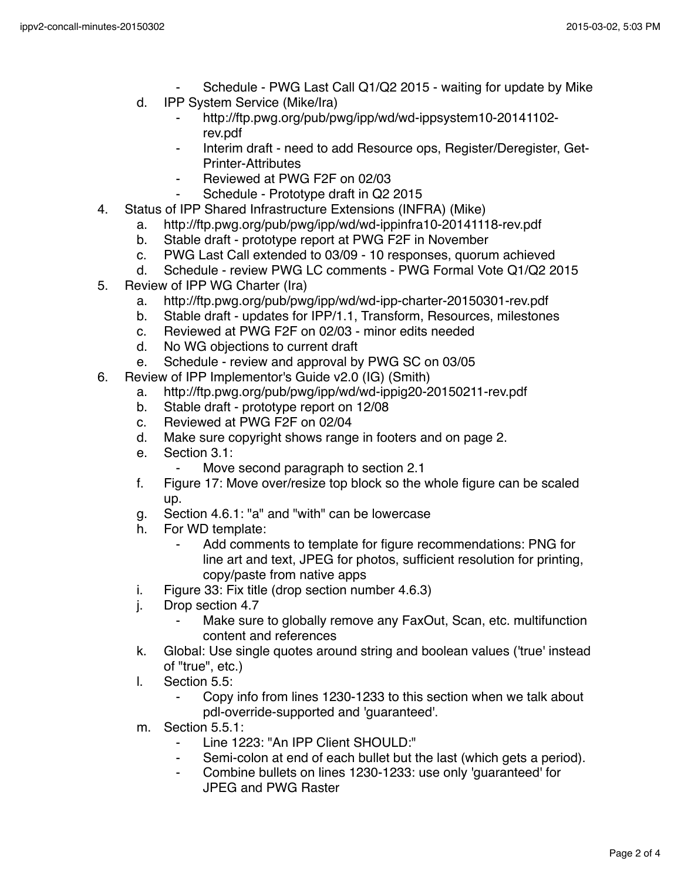- Schedule PWG Last Call Q1/Q2 2015 waiting for update by Mike
- d. IPP System Service (Mike/Ira)
	- ⁃ http://ftp.pwg.org/pub/pwg/ipp/wd/wd-ippsystem10-20141102 rev.pdf
	- Interim draft need to add Resource ops, Register/Deregister, Get-Printer-Attributes
	- Reviewed at PWG F2F on 02/03
	- Schedule Prototype draft in Q2 2015
- 4. Status of IPP Shared Infrastructure Extensions (INFRA) (Mike)
	- a. http://ftp.pwg.org/pub/pwg/ipp/wd/wd-ippinfra10-20141118-rev.pdf
	- b. Stable draft prototype report at PWG F2F in November
	- c. PWG Last Call extended to 03/09 10 responses, quorum achieved
	- d. Schedule review PWG LC comments PWG Formal Vote Q1/Q2 2015
- 5. Review of IPP WG Charter (Ira)
	- a. http://ftp.pwg.org/pub/pwg/ipp/wd/wd-ipp-charter-20150301-rev.pdf
	- b. Stable draft updates for IPP/1.1, Transform, Resources, milestones
	- c. Reviewed at PWG F2F on 02/03 minor edits needed
	- d. No WG objections to current draft
	- e. Schedule review and approval by PWG SC on 03/05
- 6. Review of IPP Implementor's Guide v2.0 (IG) (Smith)
	- a. http://ftp.pwg.org/pub/pwg/ipp/wd/wd-ippig20-20150211-rev.pdf
	- b. Stable draft prototype report on 12/08
	- c. Reviewed at PWG F2F on 02/04
	- d. Make sure copyright shows range in footers and on page 2.
	- e. Section 3.1:
		- Move second paragraph to section 2.1
	- f. Figure 17: Move over/resize top block so the whole figure can be scaled up.
	- g. Section 4.6.1: "a" and "with" can be lowercase
	- h. For WD template:
		- Add comments to template for figure recommendations: PNG for line art and text, JPEG for photos, sufficient resolution for printing, copy/paste from native apps
	- i. Figure 33: Fix title (drop section number 4.6.3)
	- j. Drop section 4.7
		- Make sure to globally remove any FaxOut, Scan, etc. multifunction content and references
	- k. Global: Use single quotes around string and boolean values ('true' instead of "true", etc.)
	- l. Section 5.5:
		- Copy info from lines 1230-1233 to this section when we talk about pdl-override-supported and 'guaranteed'.
	- m. Section 5.5.1:
		- ⁃ Line 1223: "An IPP Client SHOULD:"
		- Semi-colon at end of each bullet but the last (which gets a period).
		- ⁃ Combine bullets on lines 1230-1233: use only 'guaranteed' for JPEG and PWG Raster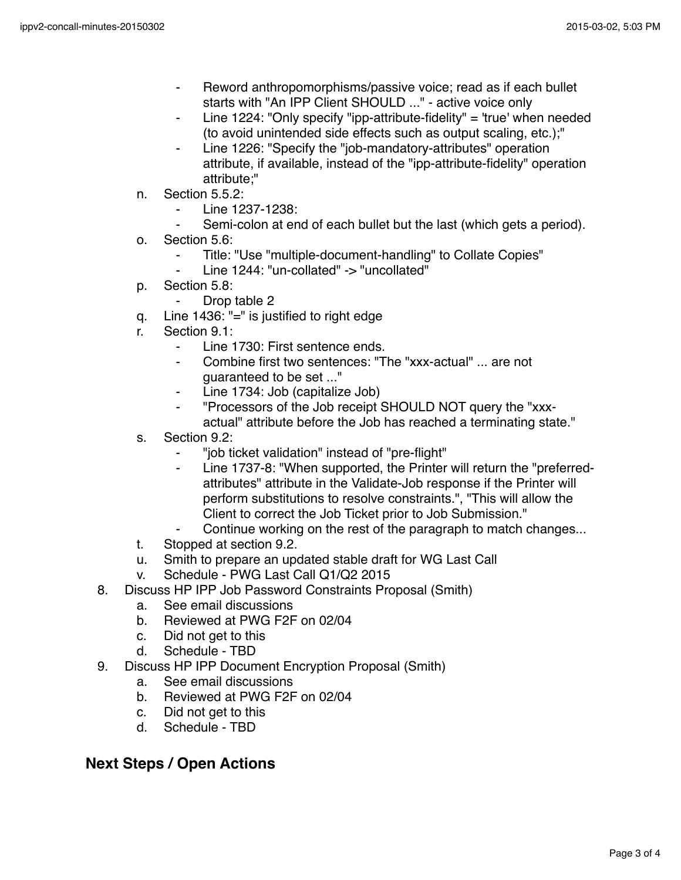- Reword anthropomorphisms/passive voice; read as if each bullet starts with "An IPP Client SHOULD ..." - active voice only
- Line 1224: "Only specify "ipp-attribute-fidelity" = 'true' when needed (to avoid unintended side effects such as output scaling, etc.);"
- Line 1226: "Specify the "job-mandatory-attributes" operation attribute, if available, instead of the "ipp-attribute-fidelity" operation attribute;"
- n. Section 5.5.2:
	- Line 1237-1238:
	- Semi-colon at end of each bullet but the last (which gets a period).
- o. Section 5.6:
	- Title: "Use "multiple-document-handling" to Collate Copies"
	- Line 1244: "un-collated" -> "uncollated"
- p. Section 5.8:
	- ⁃ Drop table 2
- q. Line 1436: "=" is justified to right edge
- r. Section 9.1:
	- ⁃ Line 1730: First sentence ends.
	- Combine first two sentences: "The "xxx-actual" ... are not guaranteed to be set ..."
	- Line 1734: Job (capitalize Job)
	- ⁃ "Processors of the Job receipt SHOULD NOT query the "xxxactual" attribute before the Job has reached a terminating state."
- s. Section 9.2:
	- ⁃ "job ticket validation" instead of "pre-flight"
	- Line 1737-8: "When supported, the Printer will return the "preferredattributes" attribute in the Validate-Job response if the Printer will perform substitutions to resolve constraints.", "This will allow the Client to correct the Job Ticket prior to Job Submission."
	- Continue working on the rest of the paragraph to match changes...
- t. Stopped at section 9.2.
- u. Smith to prepare an updated stable draft for WG Last Call
- v. Schedule PWG Last Call Q1/Q2 2015
- 8. Discuss HP IPP Job Password Constraints Proposal (Smith)
	- a. See email discussions
	- b. Reviewed at PWG F2F on 02/04
	- c. Did not get to this
	- d. Schedule TBD
- 9. Discuss HP IPP Document Encryption Proposal (Smith)
	- a. See email discussions
	- b. Reviewed at PWG F2F on 02/04
	- c. Did not get to this
	- d. Schedule TBD

## **Next Steps / Open Actions**